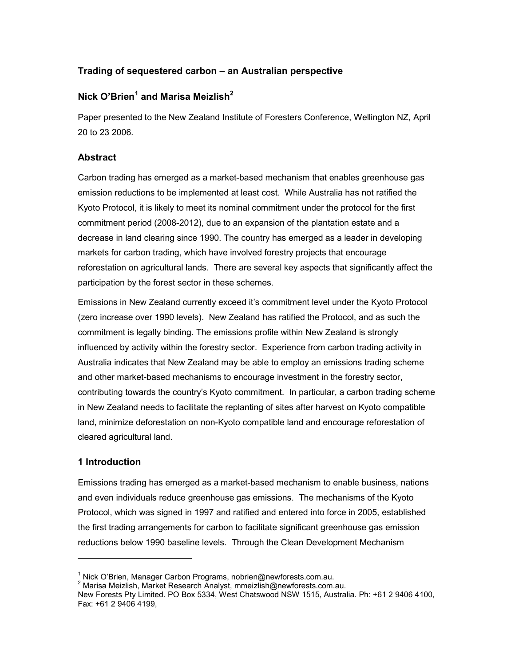# Trading of sequestered carbon – an Australian perspective

# Nick O'Brien $^{\rm 1}$  and Marisa Meizlish $^{\rm 2}$

Paper presented to the New Zealand Institute of Foresters Conference, Wellington NZ, April 20 to 23 2006.

## Abstract

Carbon trading has emerged as a market-based mechanism that enables greenhouse gas emission reductions to be implemented at least cost. While Australia has not ratified the Kyoto Protocol, it is likely to meet its nominal commitment under the protocol for the first commitment period (2008-2012), due to an expansion of the plantation estate and a decrease in land clearing since 1990. The country has emerged as a leader in developing markets for carbon trading, which have involved forestry projects that encourage reforestation on agricultural lands. There are several key aspects that significantly affect the participation by the forest sector in these schemes.

Emissions in New Zealand currently exceed it's commitment level under the Kyoto Protocol (zero increase over 1990 levels). New Zealand has ratified the Protocol, and as such the commitment is legally binding. The emissions profile within New Zealand is strongly influenced by activity within the forestry sector. Experience from carbon trading activity in Australia indicates that New Zealand may be able to employ an emissions trading scheme and other market-based mechanisms to encourage investment in the forestry sector, contributing towards the country's Kyoto commitment. In particular, a carbon trading scheme in New Zealand needs to facilitate the replanting of sites after harvest on Kyoto compatible land, minimize deforestation on non-Kyoto compatible land and encourage reforestation of cleared agricultural land.

# 1 Introduction

 $\overline{a}$ 

Emissions trading has emerged as a market-based mechanism to enable business, nations and even individuals reduce greenhouse gas emissions. The mechanisms of the Kyoto Protocol, which was signed in 1997 and ratified and entered into force in 2005, established the first trading arrangements for carbon to facilitate significant greenhouse gas emission reductions below 1990 baseline levels. Through the Clean Development Mechanism

<sup>&</sup>lt;sup>1</sup> Nick O'Brien, Manager Carbon Programs, nobrien@newforests.com.au.

<sup>2</sup> Marisa Meizlish, Market Research Analyst, mmeizlish@newforests.com.au.

New Forests Pty Limited. PO Box 5334, West Chatswood NSW 1515, Australia. Ph: +61 2 9406 4100, Fax: +61 2 9406 4199,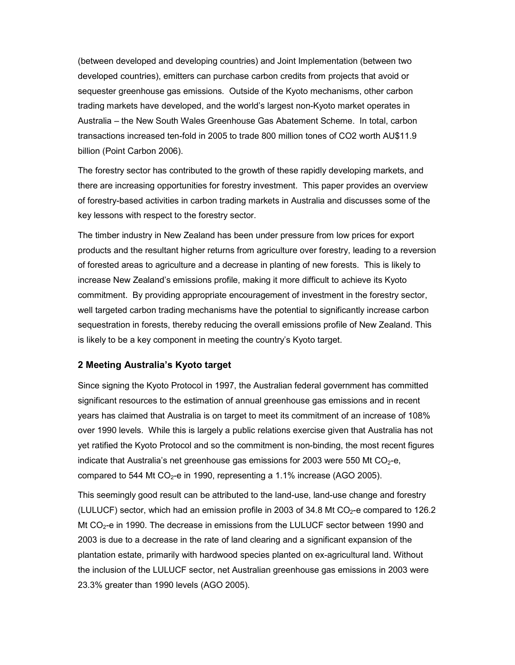(between developed and developing countries) and Joint Implementation (between two developed countries), emitters can purchase carbon credits from projects that avoid or sequester greenhouse gas emissions. Outside of the Kyoto mechanisms, other carbon trading markets have developed, and the world's largest non-Kyoto market operates in Australia – the New South Wales Greenhouse Gas Abatement Scheme. In total, carbon transactions increased ten-fold in 2005 to trade 800 million tones of CO2 worth AU\$11.9 billion (Point Carbon 2006).

The forestry sector has contributed to the growth of these rapidly developing markets, and there are increasing opportunities for forestry investment. This paper provides an overview of forestry-based activities in carbon trading markets in Australia and discusses some of the key lessons with respect to the forestry sector.

The timber industry in New Zealand has been under pressure from low prices for export products and the resultant higher returns from agriculture over forestry, leading to a reversion of forested areas to agriculture and a decrease in planting of new forests. This is likely to increase New Zealand's emissions profile, making it more difficult to achieve its Kyoto commitment. By providing appropriate encouragement of investment in the forestry sector, well targeted carbon trading mechanisms have the potential to significantly increase carbon sequestration in forests, thereby reducing the overall emissions profile of New Zealand. This is likely to be a key component in meeting the country's Kyoto target.

## 2 Meeting Australia's Kyoto target

Since signing the Kyoto Protocol in 1997, the Australian federal government has committed significant resources to the estimation of annual greenhouse gas emissions and in recent years has claimed that Australia is on target to meet its commitment of an increase of 108% over 1990 levels. While this is largely a public relations exercise given that Australia has not yet ratified the Kyoto Protocol and so the commitment is non-binding, the most recent figures indicate that Australia's net greenhouse gas emissions for 2003 were 550 Mt  $CO<sub>2</sub>$ -e, compared to 544 Mt  $CO_2$ -e in 1990, representing a 1.1% increase (AGO 2005).

This seemingly good result can be attributed to the land-use, land-use change and forestry (LULUCF) sector, which had an emission profile in 2003 of 34.8 Mt  $CO<sub>2</sub>$ -e compared to 126.2 Mt  $CO<sub>2</sub>$ -e in 1990. The decrease in emissions from the LULUCF sector between 1990 and 2003 is due to a decrease in the rate of land clearing and a significant expansion of the plantation estate, primarily with hardwood species planted on ex-agricultural land. Without the inclusion of the LULUCF sector, net Australian greenhouse gas emissions in 2003 were 23.3% greater than 1990 levels (AGO 2005).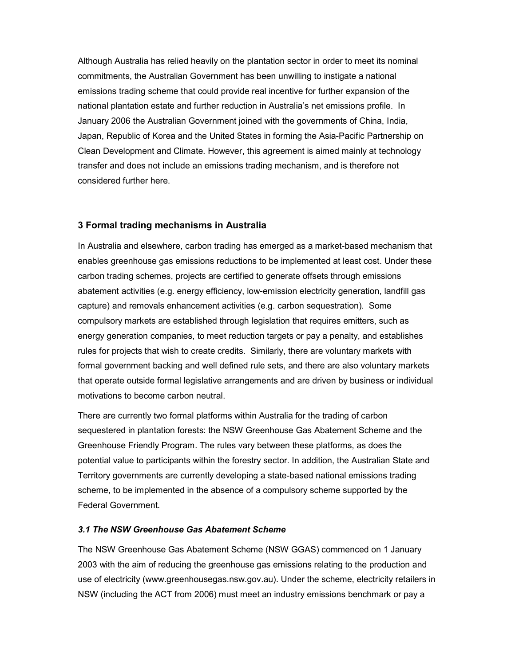Although Australia has relied heavily on the plantation sector in order to meet its nominal commitments, the Australian Government has been unwilling to instigate a national emissions trading scheme that could provide real incentive for further expansion of the national plantation estate and further reduction in Australia's net emissions profile. In January 2006 the Australian Government joined with the governments of China, India, Japan, Republic of Korea and the United States in forming the Asia-Pacific Partnership on Clean Development and Climate. However, this agreement is aimed mainly at technology transfer and does not include an emissions trading mechanism, and is therefore not considered further here.

## 3 Formal trading mechanisms in Australia

In Australia and elsewhere, carbon trading has emerged as a market-based mechanism that enables greenhouse gas emissions reductions to be implemented at least cost. Under these carbon trading schemes, projects are certified to generate offsets through emissions abatement activities (e.g. energy efficiency, low-emission electricity generation, landfill gas capture) and removals enhancement activities (e.g. carbon sequestration). Some compulsory markets are established through legislation that requires emitters, such as energy generation companies, to meet reduction targets or pay a penalty, and establishes rules for projects that wish to create credits. Similarly, there are voluntary markets with formal government backing and well defined rule sets, and there are also voluntary markets that operate outside formal legislative arrangements and are driven by business or individual motivations to become carbon neutral.

There are currently two formal platforms within Australia for the trading of carbon sequestered in plantation forests: the NSW Greenhouse Gas Abatement Scheme and the Greenhouse Friendly Program. The rules vary between these platforms, as does the potential value to participants within the forestry sector. In addition, the Australian State and Territory governments are currently developing a state-based national emissions trading scheme, to be implemented in the absence of a compulsory scheme supported by the Federal Government.

#### 3.1 The NSW Greenhouse Gas Abatement Scheme

The NSW Greenhouse Gas Abatement Scheme (NSW GGAS) commenced on 1 January 2003 with the aim of reducing the greenhouse gas emissions relating to the production and use of electricity (www.greenhousegas.nsw.gov.au). Under the scheme, electricity retailers in NSW (including the ACT from 2006) must meet an industry emissions benchmark or pay a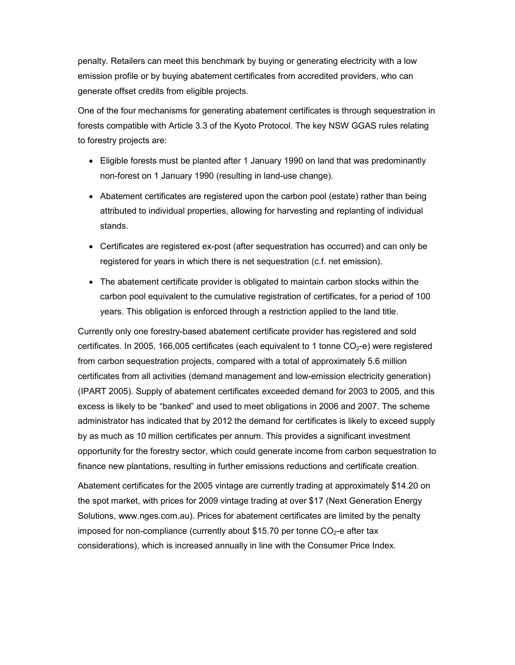penalty. Retailers can meet this benchmark by buying or generating electricity with a low emission profile or by buying abatement certificates from accredited providers, who can generate offset credits from eligible projects.

One of the four mechanisms for generating abatement certificates is through sequestration in forests compatible with Article 3.3 of the Kyoto Protocol. The key NSW GGAS rules relating to forestry projects are:

- Eligible forests must be planted after 1 January 1990 on land that was predominantly non-forest on 1 January 1990 (resulting in land-use change).
- Abatement certificates are registered upon the carbon pool (estate) rather than being attributed to individual properties, allowing for harvesting and replanting of individual stands.
- Certificates are registered ex-post (after sequestration has occurred) and can only be registered for years in which there is net sequestration (c.f. net emission).
- The abatement certificate provider is obligated to maintain carbon stocks within the carbon pool equivalent to the cumulative registration of certificates, for a period of 100 years. This obligation is enforced through a restriction applied to the land title.

Currently only one forestry-based abatement certificate provider has registered and sold certificates. In 2005, 166,005 certificates (each equivalent to 1 tonne  $CO<sub>2</sub>$ -e) were registered from carbon sequestration projects, compared with a total of approximately 5.6 million certificates from all activities (demand management and low-emission electricity generation) (IPART 2005). Supply of abatement certificates exceeded demand for 2003 to 2005, and this excess is likely to be "banked" and used to meet obligations in 2006 and 2007. The scheme administrator has indicated that by 2012 the demand for certificates is likely to exceed supply by as much as 10 million certificates per annum. This provides a significant investment opportunity for the forestry sector, which could generate income from carbon sequestration to finance new plantations, resulting in further emissions reductions and certificate creation.

Abatement certificates for the 2005 vintage are currently trading at approximately \$14.20 on the spot market, with prices for 2009 vintage trading at over \$17 (Next Generation Energy Solutions, www.nges.com.au). Prices for abatement certificates are limited by the penalty imposed for non-compliance (currently about \$15.70 per tonne  $CO<sub>2</sub>$ -e after tax considerations), which is increased annually in line with the Consumer Price Index.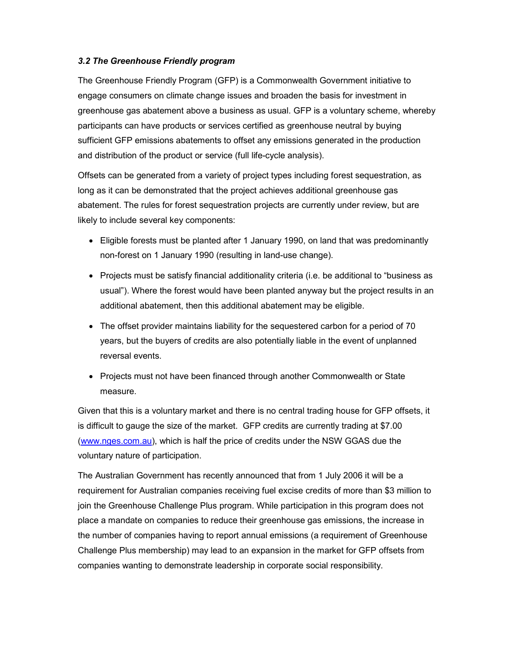### 3.2 The Greenhouse Friendly program

The Greenhouse Friendly Program (GFP) is a Commonwealth Government initiative to engage consumers on climate change issues and broaden the basis for investment in greenhouse gas abatement above a business as usual. GFP is a voluntary scheme, whereby participants can have products or services certified as greenhouse neutral by buying sufficient GFP emissions abatements to offset any emissions generated in the production and distribution of the product or service (full life-cycle analysis).

Offsets can be generated from a variety of project types including forest sequestration, as long as it can be demonstrated that the project achieves additional greenhouse gas abatement. The rules for forest sequestration projects are currently under review, but are likely to include several key components:

- Eligible forests must be planted after 1 January 1990, on land that was predominantly non-forest on 1 January 1990 (resulting in land-use change).
- Projects must be satisfy financial additionality criteria (i.e. be additional to "business as usual"). Where the forest would have been planted anyway but the project results in an additional abatement, then this additional abatement may be eligible.
- The offset provider maintains liability for the sequestered carbon for a period of 70 years, but the buyers of credits are also potentially liable in the event of unplanned reversal events.
- Projects must not have been financed through another Commonwealth or State measure.

Given that this is a voluntary market and there is no central trading house for GFP offsets, it is difficult to gauge the size of the market. GFP credits are currently trading at \$7.00 (www.nges.com.au), which is half the price of credits under the NSW GGAS due the voluntary nature of participation.

The Australian Government has recently announced that from 1 July 2006 it will be a requirement for Australian companies receiving fuel excise credits of more than \$3 million to join the Greenhouse Challenge Plus program. While participation in this program does not place a mandate on companies to reduce their greenhouse gas emissions, the increase in the number of companies having to report annual emissions (a requirement of Greenhouse Challenge Plus membership) may lead to an expansion in the market for GFP offsets from companies wanting to demonstrate leadership in corporate social responsibility.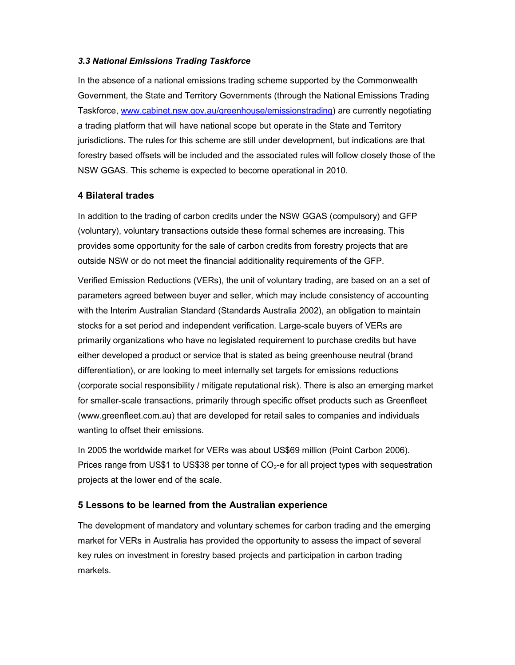#### 3.3 National Emissions Trading Taskforce

In the absence of a national emissions trading scheme supported by the Commonwealth Government, the State and Territory Governments (through the National Emissions Trading Taskforce, www.cabinet.nsw.gov.au/greenhouse/emissionstrading) are currently negotiating a trading platform that will have national scope but operate in the State and Territory jurisdictions. The rules for this scheme are still under development, but indications are that forestry based offsets will be included and the associated rules will follow closely those of the NSW GGAS. This scheme is expected to become operational in 2010.

## 4 Bilateral trades

In addition to the trading of carbon credits under the NSW GGAS (compulsory) and GFP (voluntary), voluntary transactions outside these formal schemes are increasing. This provides some opportunity for the sale of carbon credits from forestry projects that are outside NSW or do not meet the financial additionality requirements of the GFP.

Verified Emission Reductions (VERs), the unit of voluntary trading, are based on an a set of parameters agreed between buyer and seller, which may include consistency of accounting with the Interim Australian Standard (Standards Australia 2002), an obligation to maintain stocks for a set period and independent verification. Large-scale buyers of VERs are primarily organizations who have no legislated requirement to purchase credits but have either developed a product or service that is stated as being greenhouse neutral (brand differentiation), or are looking to meet internally set targets for emissions reductions (corporate social responsibility / mitigate reputational risk). There is also an emerging market for smaller-scale transactions, primarily through specific offset products such as Greenfleet (www.greenfleet.com.au) that are developed for retail sales to companies and individuals wanting to offset their emissions.

In 2005 the worldwide market for VERs was about US\$69 million (Point Carbon 2006). Prices range from US\$1 to US\$38 per tonne of  $CO<sub>2</sub>$ -e for all project types with sequestration projects at the lower end of the scale.

## 5 Lessons to be learned from the Australian experience

The development of mandatory and voluntary schemes for carbon trading and the emerging market for VERs in Australia has provided the opportunity to assess the impact of several key rules on investment in forestry based projects and participation in carbon trading markets.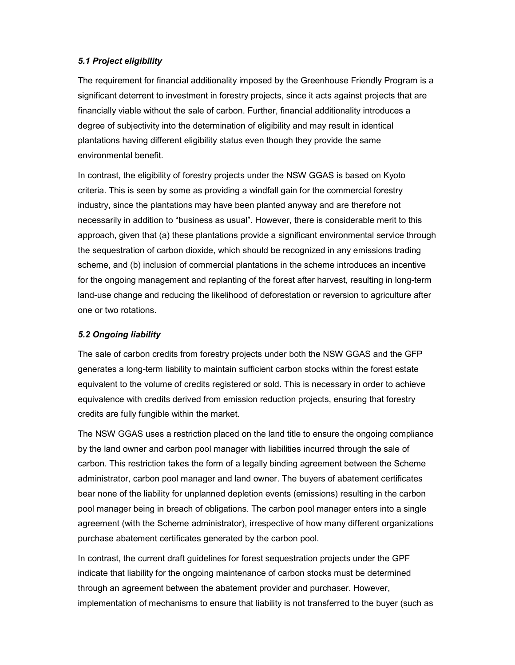## 5.1 Project eligibility

The requirement for financial additionality imposed by the Greenhouse Friendly Program is a significant deterrent to investment in forestry projects, since it acts against projects that are financially viable without the sale of carbon. Further, financial additionality introduces a degree of subjectivity into the determination of eligibility and may result in identical plantations having different eligibility status even though they provide the same environmental benefit.

In contrast, the eligibility of forestry projects under the NSW GGAS is based on Kyoto criteria. This is seen by some as providing a windfall gain for the commercial forestry industry, since the plantations may have been planted anyway and are therefore not necessarily in addition to "business as usual". However, there is considerable merit to this approach, given that (a) these plantations provide a significant environmental service through the sequestration of carbon dioxide, which should be recognized in any emissions trading scheme, and (b) inclusion of commercial plantations in the scheme introduces an incentive for the ongoing management and replanting of the forest after harvest, resulting in long-term land-use change and reducing the likelihood of deforestation or reversion to agriculture after one or two rotations.

## 5.2 Ongoing liability

The sale of carbon credits from forestry projects under both the NSW GGAS and the GFP generates a long-term liability to maintain sufficient carbon stocks within the forest estate equivalent to the volume of credits registered or sold. This is necessary in order to achieve equivalence with credits derived from emission reduction projects, ensuring that forestry credits are fully fungible within the market.

The NSW GGAS uses a restriction placed on the land title to ensure the ongoing compliance by the land owner and carbon pool manager with liabilities incurred through the sale of carbon. This restriction takes the form of a legally binding agreement between the Scheme administrator, carbon pool manager and land owner. The buyers of abatement certificates bear none of the liability for unplanned depletion events (emissions) resulting in the carbon pool manager being in breach of obligations. The carbon pool manager enters into a single agreement (with the Scheme administrator), irrespective of how many different organizations purchase abatement certificates generated by the carbon pool.

In contrast, the current draft guidelines for forest sequestration projects under the GPF indicate that liability for the ongoing maintenance of carbon stocks must be determined through an agreement between the abatement provider and purchaser. However, implementation of mechanisms to ensure that liability is not transferred to the buyer (such as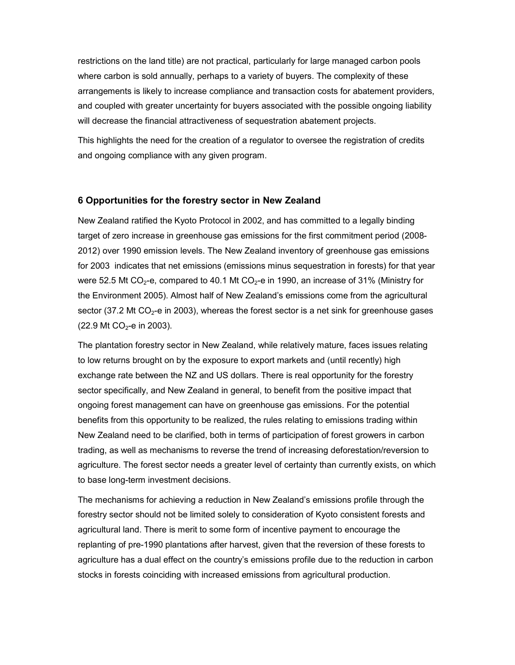restrictions on the land title) are not practical, particularly for large managed carbon pools where carbon is sold annually, perhaps to a variety of buyers. The complexity of these arrangements is likely to increase compliance and transaction costs for abatement providers, and coupled with greater uncertainty for buyers associated with the possible ongoing liability will decrease the financial attractiveness of sequestration abatement projects.

This highlights the need for the creation of a regulator to oversee the registration of credits and ongoing compliance with any given program.

#### 6 Opportunities for the forestry sector in New Zealand

New Zealand ratified the Kyoto Protocol in 2002, and has committed to a legally binding target of zero increase in greenhouse gas emissions for the first commitment period (2008- 2012) over 1990 emission levels. The New Zealand inventory of greenhouse gas emissions for 2003 indicates that net emissions (emissions minus sequestration in forests) for that year were 52.5 Mt CO<sub>2</sub>-e, compared to 40.1 Mt CO<sub>2</sub>-e in 1990, an increase of 31% (Ministry for the Environment 2005). Almost half of New Zealand's emissions come from the agricultural sector (37.2 Mt  $CO<sub>2</sub>$ -e in 2003), whereas the forest sector is a net sink for greenhouse gases  $(22.9 \text{ Mt CO}_2 - \text{e in } 2003)$ .

The plantation forestry sector in New Zealand, while relatively mature, faces issues relating to low returns brought on by the exposure to export markets and (until recently) high exchange rate between the NZ and US dollars. There is real opportunity for the forestry sector specifically, and New Zealand in general, to benefit from the positive impact that ongoing forest management can have on greenhouse gas emissions. For the potential benefits from this opportunity to be realized, the rules relating to emissions trading within New Zealand need to be clarified, both in terms of participation of forest growers in carbon trading, as well as mechanisms to reverse the trend of increasing deforestation/reversion to agriculture. The forest sector needs a greater level of certainty than currently exists, on which to base long-term investment decisions.

The mechanisms for achieving a reduction in New Zealand's emissions profile through the forestry sector should not be limited solely to consideration of Kyoto consistent forests and agricultural land. There is merit to some form of incentive payment to encourage the replanting of pre-1990 plantations after harvest, given that the reversion of these forests to agriculture has a dual effect on the country's emissions profile due to the reduction in carbon stocks in forests coinciding with increased emissions from agricultural production.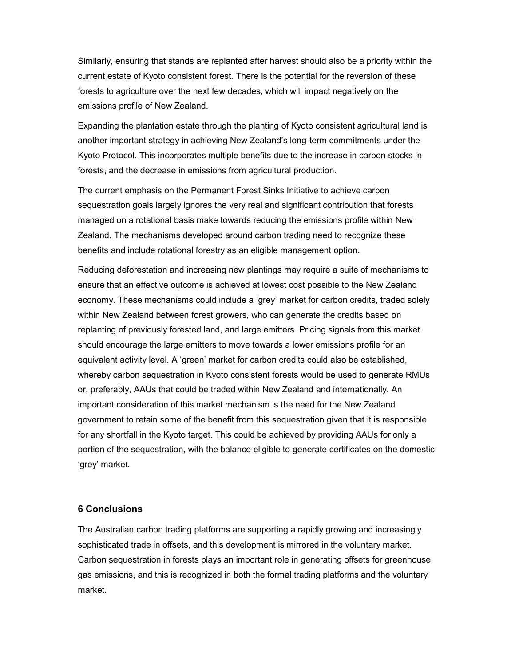Similarly, ensuring that stands are replanted after harvest should also be a priority within the current estate of Kyoto consistent forest. There is the potential for the reversion of these forests to agriculture over the next few decades, which will impact negatively on the emissions profile of New Zealand.

Expanding the plantation estate through the planting of Kyoto consistent agricultural land is another important strategy in achieving New Zealand's long-term commitments under the Kyoto Protocol. This incorporates multiple benefits due to the increase in carbon stocks in forests, and the decrease in emissions from agricultural production.

The current emphasis on the Permanent Forest Sinks Initiative to achieve carbon sequestration goals largely ignores the very real and significant contribution that forests managed on a rotational basis make towards reducing the emissions profile within New Zealand. The mechanisms developed around carbon trading need to recognize these benefits and include rotational forestry as an eligible management option.

Reducing deforestation and increasing new plantings may require a suite of mechanisms to ensure that an effective outcome is achieved at lowest cost possible to the New Zealand economy. These mechanisms could include a 'grey' market for carbon credits, traded solely within New Zealand between forest growers, who can generate the credits based on replanting of previously forested land, and large emitters. Pricing signals from this market should encourage the large emitters to move towards a lower emissions profile for an equivalent activity level. A 'green' market for carbon credits could also be established, whereby carbon sequestration in Kyoto consistent forests would be used to generate RMUs or, preferably, AAUs that could be traded within New Zealand and internationally. An important consideration of this market mechanism is the need for the New Zealand government to retain some of the benefit from this sequestration given that it is responsible for any shortfall in the Kyoto target. This could be achieved by providing AAUs for only a portion of the sequestration, with the balance eligible to generate certificates on the domestic 'grey' market.

#### 6 Conclusions

The Australian carbon trading platforms are supporting a rapidly growing and increasingly sophisticated trade in offsets, and this development is mirrored in the voluntary market. Carbon sequestration in forests plays an important role in generating offsets for greenhouse gas emissions, and this is recognized in both the formal trading platforms and the voluntary market.